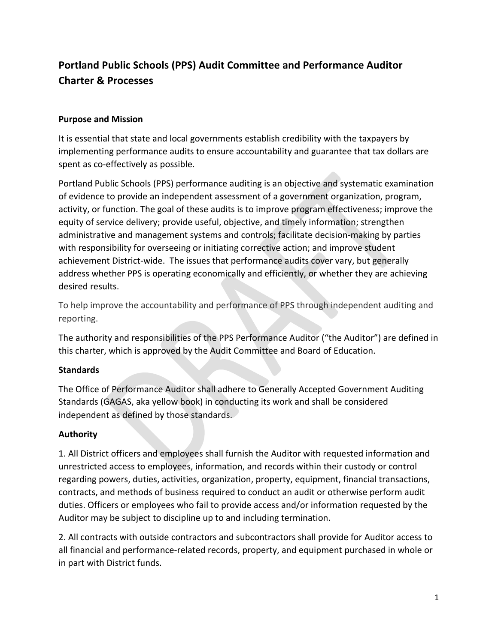# **Portland Public Schools (PPS) Audit Committee and Performance Auditor Charter & Processes**

### **Purpose and Mission**

It is essential that state and local governments establish credibility with the taxpayers by implementing performance audits to ensure accountability and guarantee that tax dollars are spent as co-effectively as possible.

Portland Public Schools (PPS) performance auditing is an objective and systematic examination of evidence to provide an independent assessment of a government organization, program, activity, or function. The goal of these audits is to improve program effectiveness; improve the equity of service delivery; provide useful, objective, and timely information; strengthen administrative and management systems and controls; facilitate decision-making by parties with responsibility for overseeing or initiating corrective action; and improve student achievement District-wide. The issues that performance audits cover vary, but generally address whether PPS is operating economically and efficiently, or whether they are achieving desired results.

To help improve the accountability and performance of PPS through independent auditing and reporting.

The authority and responsibilities of the PPS Performance Auditor ("the Auditor") are defined in this charter, which is approved by the Audit Committee and Board of Education.

#### **Standards**

The Office of Performance Auditor shall adhere to Generally Accepted Government Auditing Standards (GAGAS, aka yellow book) in conducting its work and shall be considered independent as defined by those standards.

#### **Authority**

1. All District officers and employees shall furnish the Auditor with requested information and unrestricted access to employees, information, and records within their custody or control regarding powers, duties, activities, organization, property, equipment, financial transactions, contracts, and methods of business required to conduct an audit or otherwise perform audit duties. Officers or employees who fail to provide access and/or information requested by the Auditor may be subject to discipline up to and including termination.

2. All contracts with outside contractors and subcontractors shall provide for Auditor access to all financial and performance-related records, property, and equipment purchased in whole or in part with District funds.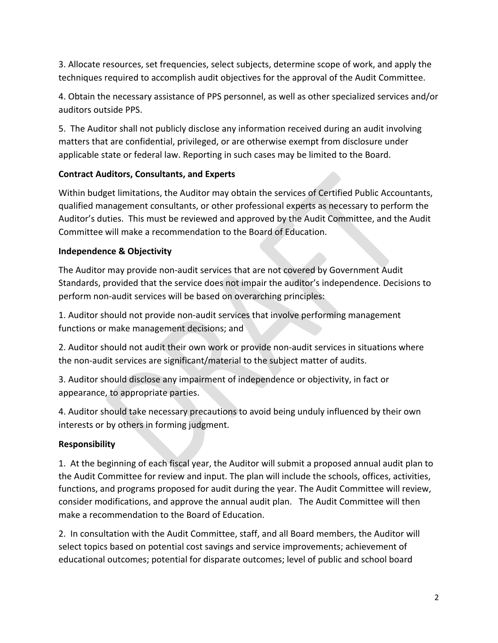3. Allocate resources, set frequencies, select subjects, determine scope of work, and apply the techniques required to accomplish audit objectives for the approval of the Audit Committee.

4. Obtain the necessary assistance of PPS personnel, as well as other specialized services and/or auditors outside PPS.

5. The Auditor shall not publicly disclose any information received during an audit involving matters that are confidential, privileged, or are otherwise exempt from disclosure under applicable state or federal law. Reporting in such cases may be limited to the Board.

# **Contract Auditors, Consultants, and Experts**

Within budget limitations, the Auditor may obtain the services of Certified Public Accountants, qualified management consultants, or other professional experts as necessary to perform the Auditor's duties. This must be reviewed and approved by the Audit Committee, and the Audit Committee will make a recommendation to the Board of Education.

# **Independence & Objectivity**

The Auditor may provide non-audit services that are not covered by Government Audit Standards, provided that the service does not impair the auditor's independence. Decisions to perform non-audit services will be based on overarching principles:

1. Auditor should not provide non-audit services that involve performing management functions or make management decisions; and

2. Auditor should not audit their own work or provide non-audit services in situations where the non-audit services are significant/material to the subject matter of audits.

3. Auditor should disclose any impairment of independence or objectivity, in fact or appearance, to appropriate parties.

4. Auditor should take necessary precautions to avoid being unduly influenced by their own interests or by others in forming judgment.

# **Responsibility**

1. At the beginning of each fiscal year, the Auditor will submit a proposed annual audit plan to the Audit Committee for review and input. The plan will include the schools, offices, activities, functions, and programs proposed for audit during the year. The Audit Committee will review, consider modifications, and approve the annual audit plan. The Audit Committee will then make a recommendation to the Board of Education.

2. In consultation with the Audit Committee, staff, and all Board members, the Auditor will select topics based on potential cost savings and service improvements; achievement of educational outcomes; potential for disparate outcomes; level of public and school board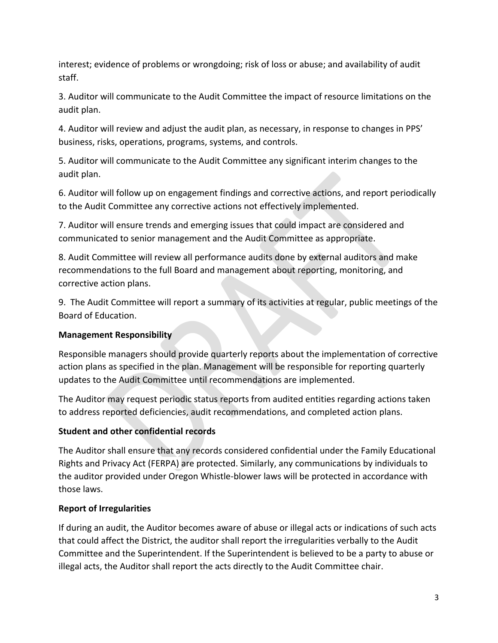interest; evidence of problems or wrongdoing; risk of loss or abuse; and availability of audit staff. 

3. Auditor will communicate to the Audit Committee the impact of resource limitations on the audit plan.

4. Auditor will review and adjust the audit plan, as necessary, in response to changes in PPS' business, risks, operations, programs, systems, and controls.

5. Auditor will communicate to the Audit Committee any significant interim changes to the audit plan.

6. Auditor will follow up on engagement findings and corrective actions, and report periodically to the Audit Committee any corrective actions not effectively implemented.

7. Auditor will ensure trends and emerging issues that could impact are considered and communicated to senior management and the Audit Committee as appropriate.

8. Audit Committee will review all performance audits done by external auditors and make recommendations to the full Board and management about reporting, monitoring, and corrective action plans.

9. The Audit Committee will report a summary of its activities at regular, public meetings of the Board of Education. 

#### **Management Responsibility**

Responsible managers should provide quarterly reports about the implementation of corrective action plans as specified in the plan. Management will be responsible for reporting quarterly updates to the Audit Committee until recommendations are implemented.

The Auditor may request periodic status reports from audited entities regarding actions taken to address reported deficiencies, audit recommendations, and completed action plans.

#### **Student and other confidential records**

The Auditor shall ensure that any records considered confidential under the Family Educational Rights and Privacy Act (FERPA) are protected. Similarly, any communications by individuals to the auditor provided under Oregon Whistle-blower laws will be protected in accordance with those laws.

#### **Report of Irregularities**

If during an audit, the Auditor becomes aware of abuse or illegal acts or indications of such acts that could affect the District, the auditor shall report the irregularities verbally to the Audit Committee and the Superintendent. If the Superintendent is believed to be a party to abuse or illegal acts, the Auditor shall report the acts directly to the Audit Committee chair.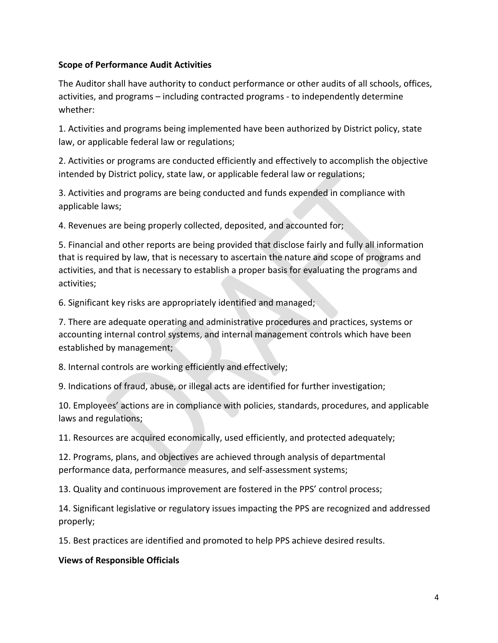#### **Scope of Performance Audit Activities**

The Auditor shall have authority to conduct performance or other audits of all schools, offices, activities, and programs – including contracted programs - to independently determine whether: 

1. Activities and programs being implemented have been authorized by District policy, state law, or applicable federal law or regulations;

2. Activities or programs are conducted efficiently and effectively to accomplish the objective intended by District policy, state law, or applicable federal law or regulations;

3. Activities and programs are being conducted and funds expended in compliance with applicable laws;

4. Revenues are being properly collected, deposited, and accounted for;

5. Financial and other reports are being provided that disclose fairly and fully all information that is required by law, that is necessary to ascertain the nature and scope of programs and activities, and that is necessary to establish a proper basis for evaluating the programs and activities; 

6. Significant key risks are appropriately identified and managed;

7. There are adequate operating and administrative procedures and practices, systems or accounting internal control systems, and internal management controls which have been established by management;

8. Internal controls are working efficiently and effectively;

9. Indications of fraud, abuse, or illegal acts are identified for further investigation;

10. Employees' actions are in compliance with policies, standards, procedures, and applicable laws and regulations;

11. Resources are acquired economically, used efficiently, and protected adequately;

12. Programs, plans, and objectives are achieved through analysis of departmental performance data, performance measures, and self-assessment systems;

13. Quality and continuous improvement are fostered in the PPS' control process;

14. Significant legislative or regulatory issues impacting the PPS are recognized and addressed properly;

15. Best practices are identified and promoted to help PPS achieve desired results.

#### **Views of Responsible Officials**